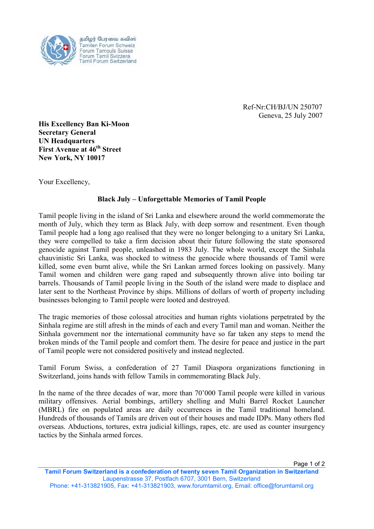

தமிழர் பேரவை சுவிஸ் Tamilen Forum Schweiz Forum Tamouls Suisse Forum Tamil Svizzera<br>Tamil Forum Switzerland

> Ref-Nr:CH/BJ/UN 250707 Geneva, 25 July 2007

His Excellency Ban Ki-Moon Secretary General UN Headquarters First Avenue at 46<sup>th</sup> Street New York, NY 10017

Your Excellency,

## Black July – Unforgettable Memories of Tamil People

Tamil people living in the island of Sri Lanka and elsewhere around the world commemorate the month of July, which they term as Black July, with deep sorrow and resentment. Even though Tamil people had a long ago realised that they were no longer belonging to a unitary Sri Lanka, they were compelled to take a firm decision about their future following the state sponsored genocide against Tamil people, unleashed in 1983 July. The whole world, except the Sinhala chauvinistic Sri Lanka, was shocked to witness the genocide where thousands of Tamil were killed, some even burnt alive, while the Sri Lankan armed forces looking on passively. Many Tamil women and children were gang raped and subsequently thrown alive into boiling tar barrels. Thousands of Tamil people living in the South of the island were made to displace and later sent to the Northeast Province by ships. Millions of dollars of worth of property including businesses belonging to Tamil people were looted and destroyed.

The tragic memories of those colossal atrocities and human rights violations perpetrated by the Sinhala regime are still afresh in the minds of each and every Tamil man and woman. Neither the Sinhala government nor the international community have so far taken any steps to mend the broken minds of the Tamil people and comfort them. The desire for peace and justice in the part of Tamil people were not considered positively and instead neglected.

Tamil Forum Swiss, a confederation of 27 Tamil Diaspora organizations functioning in Switzerland, joins hands with fellow Tamils in commemorating Black July.

In the name of the three decades of war, more than 70'000 Tamil people were killed in various military offensives. Aerial bombings, artillery shelling and Multi Barrel Rocket Launcher (MBRL) fire on populated areas are daily occurrences in the Tamil traditional homeland. Hundreds of thousands of Tamils are driven out of their houses and made IDPs. Many others fled overseas. Abductions, tortures, extra judicial killings, rapes, etc. are used as counter insurgency tactics by the Sinhala armed forces.